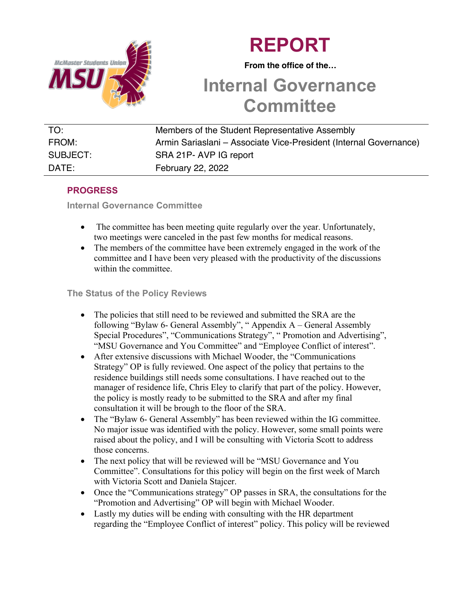



 **From the office of the…**

# **Internal Governance Committee**

| TO:      | Members of the Student Representative Assembly                    |
|----------|-------------------------------------------------------------------|
|          |                                                                   |
| FROM:    | Armin Sariaslani – Associate Vice-President (Internal Governance) |
|          |                                                                   |
| SUBJECT: | SRA 21P-AVP IG report                                             |
|          |                                                                   |
| DATE:    | February 22, 2022                                                 |
|          |                                                                   |

# **PROGRESS**

**Internal Governance Committee** 

- The committee has been meeting quite regularly over the year. Unfortunately, two meetings were canceled in the past few months for medical reasons.
- The members of the committee have been extremely engaged in the work of the committee and I have been very pleased with the productivity of the discussions within the committee.

#### **The Status of the Policy Reviews**

- The policies that still need to be reviewed and submitted the SRA are the following "Bylaw 6- General Assembly", " Appendix A – General Assembly Special Procedures", "Communications Strategy", " Promotion and Advertising", "MSU Governance and You Committee" and "Employee Conflict of interest".
- After extensive discussions with Michael Wooder, the "Communications Strategy" OP is fully reviewed. One aspect of the policy that pertains to the residence buildings still needs some consultations. I have reached out to the manager of residence life, Chris Eley to clarify that part of the policy. However, the policy is mostly ready to be submitted to the SRA and after my final consultation it will be brough to the floor of the SRA.
- The "Bylaw 6- General Assembly" has been reviewed within the IG committee. No major issue was identified with the policy. However, some small points were raised about the policy, and I will be consulting with Victoria Scott to address those concerns.
- The next policy that will be reviewed will be "MSU Governance and You Committee". Consultations for this policy will begin on the first week of March with Victoria Scott and Daniela Stajcer.
- Once the "Communications strategy" OP passes in SRA, the consultations for the "Promotion and Advertising" OP will begin with Michael Wooder.
- Lastly my duties will be ending with consulting with the HR department regarding the "Employee Conflict of interest" policy. This policy will be reviewed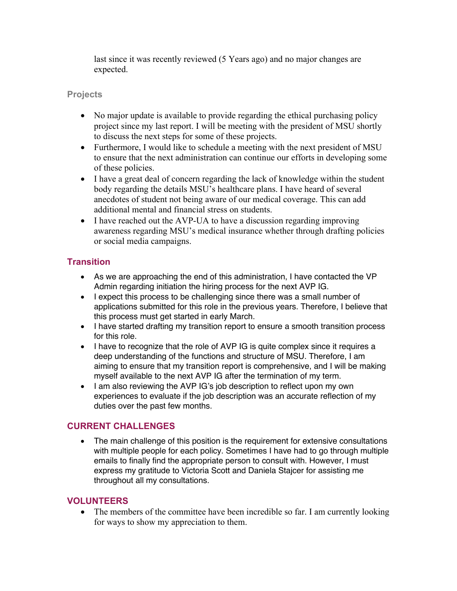last since it was recently reviewed (5 Years ago) and no major changes are expected.

#### **Projects**

- No major update is available to provide regarding the ethical purchasing policy project since my last report. I will be meeting with the president of MSU shortly to discuss the next steps for some of these projects.
- Furthermore, I would like to schedule a meeting with the next president of MSU to ensure that the next administration can continue our efforts in developing some of these policies.
- I have a great deal of concern regarding the lack of knowledge within the student body regarding the details MSU's healthcare plans. I have heard of several anecdotes of student not being aware of our medical coverage. This can add additional mental and financial stress on students.
- I have reached out the AVP-UA to have a discussion regarding improving awareness regarding MSU's medical insurance whether through drafting policies or social media campaigns.

## **Transition**

- As we are approaching the end of this administration, I have contacted the VP Admin regarding initiation the hiring process for the next AVP IG.
- I expect this process to be challenging since there was a small number of applications submitted for this role in the previous years. Therefore, I believe that this process must get started in early March.
- I have started drafting my transition report to ensure a smooth transition process for this role.
- I have to recognize that the role of AVP IG is quite complex since it requires a deep understanding of the functions and structure of MSU. Therefore, I am aiming to ensure that my transition report is comprehensive, and I will be making myself available to the next AVP IG after the termination of my term.
- I am also reviewing the AVP IG's job description to reflect upon my own experiences to evaluate if the job description was an accurate reflection of my duties over the past few months.

## **CURRENT CHALLENGES**

• The main challenge of this position is the requirement for extensive consultations with multiple people for each policy. Sometimes I have had to go through multiple emails to finally find the appropriate person to consult with. However, I must express my gratitude to Victoria Scott and Daniela Stajcer for assisting me throughout all my consultations.

#### **VOLUNTEERS**

• The members of the committee have been incredible so far. I am currently looking for ways to show my appreciation to them.